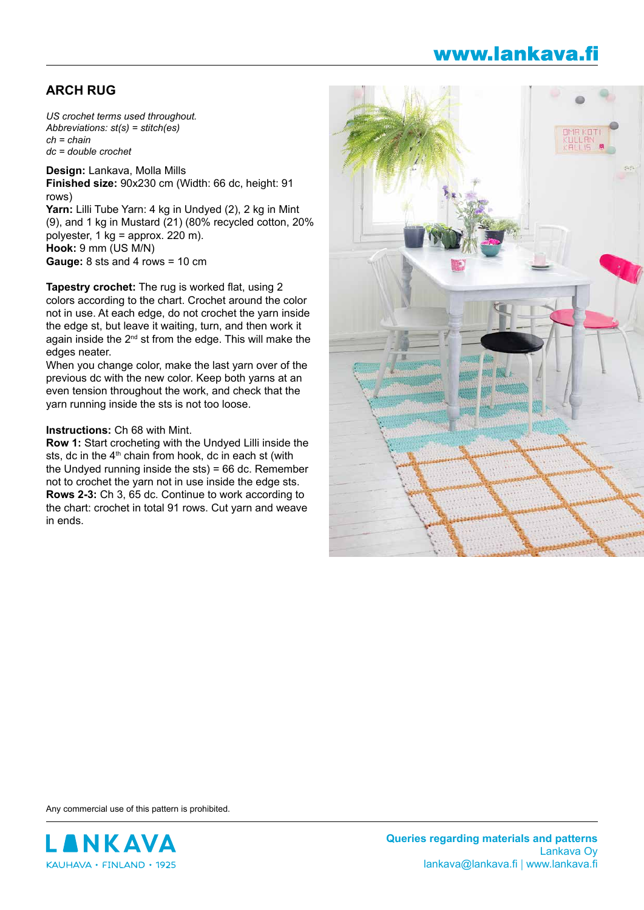## www.lankava.fi

## **ARCH RUG**

*US crochet terms used throughout. Abbreviations: st(s) = stitch(es) ch = chain dc = double crochet*

**Design:** Lankava, Molla Mills **Finished size:** 90x230 cm (Width: 66 dc, height: 91 rows) **Yarn:** Lilli Tube Yarn: 4 kg in Undyed (2), 2 kg in Mint (9), and 1 kg in Mustard (21) (80% recycled cotton, 20% polyester, 1 kg = approx. 220 m). **Hook:** 9 mm (US M/N) **Gauge:** 8 sts and 4 rows = 10 cm

**Tapestry crochet:** The rug is worked flat, using 2 colors according to the chart. Crochet around the color not in use. At each edge, do not crochet the yarn inside the edge st, but leave it waiting, turn, and then work it again inside the  $2<sup>nd</sup>$  st from the edge. This will make the edges neater.

When you change color, make the last yarn over of the previous dc with the new color. Keep both yarns at an even tension throughout the work, and check that the yarn running inside the sts is not too loose.

## **Instructions:** Ch 68 with Mint.

**Row 1:** Start crocheting with the Undyed Lilli inside the sts, dc in the  $4<sup>th</sup>$  chain from hook, dc in each st (with the Undyed running inside the sts) = 66 dc. Remember not to crochet the yarn not in use inside the edge sts. **Rows 2-3:** Ch 3, 65 dc. Continue to work according to the chart: crochet in total 91 rows. Cut yarn and weave in ends.



Any commercial use of this pattern is prohibited.